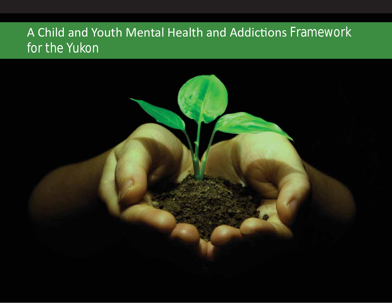# A Child and Youth Mental Health and Addictions Framework for the Yukon

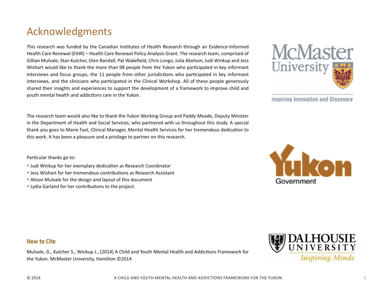# Acknowledgments

This research was funded by the Canadian Institutes of Health Research through an Evidence-Informed Health Care Renewal (EIHR) – Health Care Renewal Policy Analysis Grant. The research team, comprised of Gillian Mulvale, Stan Kutcher, Glen Randall, Pat Wakefield, Chris Longo, Julia Abelson, Judi Winkup and Jess Wishart would like to thank the more than 98 people from the Yukon who participated in key informant interviews and focus groups, the 11 people from other jurisdictions who participated in key informant interviews, and the clinicians who participated in the Clinical Workshop. All of these people generously shared their insights and experiences to support the development of a framework to improve child and youth mental health and addictions care in the Yukon.

The research team would also like to thank the Yukon Working Group and Paddy Meade, Deputy Minister in the Department of Health and Social Services, who partnered with us throughout this study. A special thank you goes to Marie Fast, Clinical Manager, Mental Health Services for her tremendous dedication to this work. It has been a pleasure and a privilege to partner on this research.

Mulvale, G., Kutcher S., Winkup J., (2014) A Child and Youth Mental Health and Addictions Framework for

Particular thanks go to:

- Judi Winkup for her exemplary dedication as Research Coordinator
- Jess Wishart for her tremendous contributions as Research Assistant
- Alison Mulvale for the design and layout of this document
- Lydia Garland for her contributions to the project.

the Yukon. McMaster University, Hamilton ©2014

**How to Cite**



Inspiring Innovation and Discovery



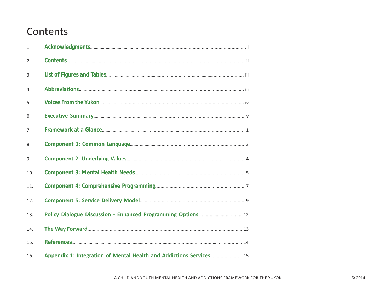# Contents

 $\,$  ii

| 1.  |                                                                     |
|-----|---------------------------------------------------------------------|
| 2.  |                                                                     |
| 3.  |                                                                     |
| 4.  |                                                                     |
| 5.  |                                                                     |
| 6.  |                                                                     |
| 7.  |                                                                     |
| 8.  |                                                                     |
| 9.  |                                                                     |
| 10. |                                                                     |
| 11. |                                                                     |
| 12. |                                                                     |
| 13. |                                                                     |
| 14. |                                                                     |
| 15. |                                                                     |
| 16. | Appendix 1: Integration of Mental Health and Addictions Services 15 |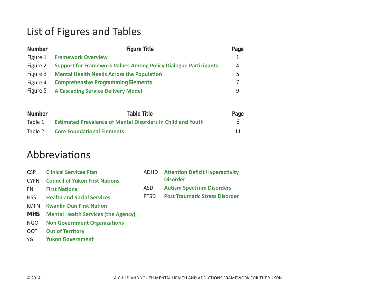# List of Figures and Tables

| <b>Number</b> | <b>Figure Title</b>                                                    | Page |
|---------------|------------------------------------------------------------------------|------|
| Figure 1      | <b>Framework Overview</b>                                              |      |
| Figure 2      | <b>Support for Framework Values Among Policy Dialogue Participants</b> | 4    |
| Figure 3      | <b>Mental Health Needs Across the Population</b>                       | b    |
| Figure 4      | <b>Comprehensive Programming Elements</b>                              |      |
|               | Figure 5 A Cascading Service Delivery Model                            | q    |

| <b>Number</b> | Table Title                                                        | Page |
|---------------|--------------------------------------------------------------------|------|
| Table 1       | <b>Estimated Prevalence of Mental Disorders in Child and Youth</b> | 6    |
|               | Table 2 Core Foundational Elements                                 | 11   |

# Abbreviations

| CSP         | <b>Clinical Services Plan</b>              |             | <b>ADHD</b> Attention Deficit Hyperactivity |
|-------------|--------------------------------------------|-------------|---------------------------------------------|
| <b>CYFN</b> | <b>Council of Yukon First Nations</b>      |             | <b>Disorder</b>                             |
| FN.         | <b>First Nations</b>                       | ASD         | <b>Autism Spectrum Disorders</b>            |
| <b>HSS</b>  | <b>Health and Social Services</b>          | <b>PTSD</b> | <b>Post Traumatic Stress Disorder</b>       |
| <b>KDFN</b> | <b>Kwanlin Dun First Nation</b>            |             |                                             |
| MHS         | <b>Mental Health Services (the Agency)</b> |             |                                             |

- **NGO** Non Government Organizations
- **OOT** Out of Territory
- z' **Yukon Government**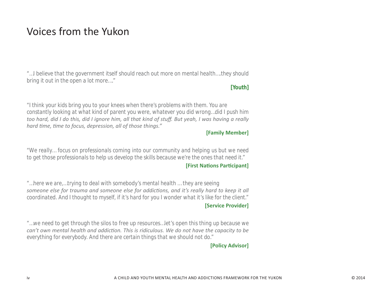# Voices from the Yukon

*"…I believe that the government itself should reach out more on mental health….they should bring it out in the open a lot more…."*

# **[Youth]**

*"I think your kids bring you to your knees when there's problems with them. You are constantly looking at what kind of parent you were, whatever you did wrong…did I push him*  too hard, did I do this, did I ignore him, all that kind of stuff. But yeah, I was having a really *hard time, time to focus, depression, all of those things."* 

# **[Family Member]**

*"We really… focus on professionals coming into our community and helping us but we need to get those professionals to help us develop the skills because we're the ones that need it."*

# **[First Nations Participant]**

*"…here we are,…trying to deal with somebody's mental health … they are seeing someone else for trauma and someone else for addictions, and it's really hard to keep it all coordinated. And I thought to myself, if it's hard for you I wonder what it's like for the client."*

# **Service Provider]**

*"…we need to get through the silos to free up resources…let's open this thing up because we Can't own mental health and addiction. This is ridiculous. We do not have the capacity to be everything for everybody. And there are certain things that we should not do."*

# **[Policy Advisor]**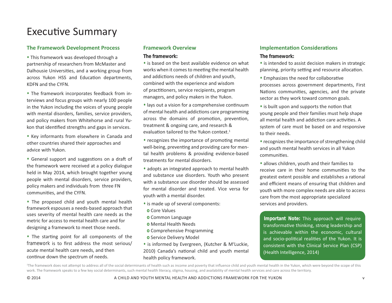# Executive Summary

### **The Framework Development Process**

• This framework was developed through a partnership of researchers from McMaster and Dalhousie Universities, and a working group from across Yukon HSS and Education departments, KDFN and the CYFN.

• The framework incorporates feedback from interviews and focus groups with nearly 100 people in the Yukon including the voices of young people with mental disorders, families, service providers, and policy makers from Whitehorse and rural Yukon that identified strengths and gaps in services.

• Key informants from elsewhere in Canada and other countries shared their approaches and advice with Yukon.

• General support and suggestions on a draft of the framework were received at a policy dialogue held in May 2014, which brought together young people with mental disorders, service providers, policy makers and individuals from three FN communities, and the CYFN.

• The proposed child and youth mental health framework espouses a needs-based approach that uses severity of mental health care needs as the metric for access to mental health care and for designing a framework to meet those needs.

• The starting point for all components of the framework is to first address the most serious/ acute mental health care needs, and then continue down the spectrum of needs.

#### **Eramework Overview**

#### **The framework:**

• is based on the best available evidence on what works when it comes to meeting the mental health and addictions needs of children and youth, combined with the experience and wisdom of practitioners, service recipients, program managers, and policy makers in the Yukon.

• lays out a vision for a comprehensive continuum of mental health and addictions care programming across the domains of promotion, prevention, treatment & ongoing care, and research & evaluation tailored to the Yukon context.<sup>1</sup>

• recognizes the importance of promoting mental well-being, preventing and providing care for mental health problems & providing evidence-based treatments for mental disorders.

• adopts an integrated approach to mental health and substance use disorders. Youth who present with a substance use disorder should be assessed for mental disorder and treated. Vice versa for youth with a mental disorder.

- is made up of several components:
- **o** Core Values
- **o** Common Language
- **O** Mental Health Needs
- **o** Comprehensive Programming
- **o** Service Delivery Model
- is informed by Evergreen, (Kutcher & M<sup>c</sup>Luckie, 2010) Canada's national child and youth mental health policy framework.

# **Implementation Considerations**

#### **The framework:**

• is intended to assist decision makers in strategic planning, priority setting and resource allocation.

- Emphasizes the need for collaborative processes across government departments, First Nations communities, agencies, and the private sector as they work toward common goals.
- is built upon and supports the notion that young people and their families must help shape all mental health and addiction care activities. A system of care must be based on and responsive to their needs.
- recognizes the importance of strengthening child and youth mental health services in all Yukon communities.
- allows children, youth and their families to receive care in their home communities to the greatest extent possible and establishes a rational and efficient means of ensuring that children and youth with more complex needs are able to access care from the most appropriate specialized services and providers.

**Important Note:** This approach will require transformative thinking, strong leadership and is achievable within the economic, cultural and socio-political realities of the Yukon. It is consistent with the Clinical Service Plan (CSP) (Health Intelligence, 2014)

<sup>1</sup>The framework does not attempt to address all of the social determinants of health such as income and poverty that influence child and youth mental health in the Yukon, which were beyond the scope of this work. The framework speaks to a few key social determinants, such mental health literacy, stigma, housing, and availability of mental health services and care across the territory.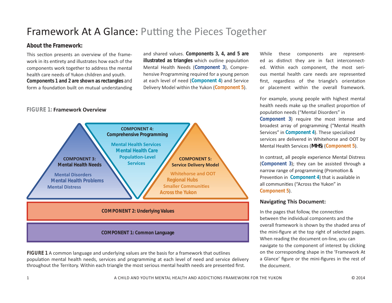# Framework At A Glance: Putting the Pieces Together

# **About the Framework:**

This section presents an overview of the framework in its entirety and illustrates how each of the components work together to address the mental health care needs of Yukon children and vouth. **Components 1 and 2 are shown as rectangles** and form a foundation built on mutual understanding

and shared values. Components 3, 4, and 5 are **illustrated as triangles** which outline population **Mental Health Needs (Component 3), Compre**hensive Programming required for a young person at each level of need (Component 4) and Service Delivery Model within the Yukon (Component 5).

# **FIGURE 1: Framework Overview**



FIGURE 1 A common language and underlying values are the basis for a framework that outlines population mental health needs, services and programming at each level of need and service delivery throughout the Territory. Within each triangle the most serious mental health needs are presented first.

While these components are represented as distinct they are in fact interconnected. Within each component, the most serious mental health care needs are represented first, regardless of the triangle's orientation or placement within the overall framework.

For example, young people with highest mental health needs make up the smallest proportion of population needs ("Mental Disorders" in Component 3) require the most intense and broadest array of programming ("Mental Health Services" in Component 4). These specialized services are delivered in Whitehorse and OOT by Dental Health Services (*MHS*) (Component 5).

In contrast, all people experience Mental Distress (Component 3); they can be assisted through a narrow range of programming (Promotion & Prevention in Component 4) that is available in all communities ("Across the Yukon" in Component 5).

### **Navigating This Document:**

In the pages that follow, the connection between the individual components and the overall framework is shown by the shaded area of the mini-figure at the top right of selected pages. When reading the document on-line, you can navigate to the component of interest by clicking on the corresponding shape in the 'Framework At a Glance' figure or the mini-figures in the rest of the document.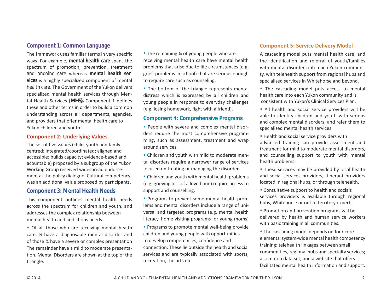# **Component 1: Common Language**

The framework uses familiar terms in very specific ways. For example, mental health care spans the spectrum of promotion, prevention, treatment and ongoing care whereas mental health services is a highly specialized component of mental health care. The Government of the Yukon delivers specialized mental health services through Mental Health Services (*MHS)*. Component 1 defines these and other terms in order to build a common understanding across all departments, agencies, and providers that offer mental health care to Yukon children and youth.

#### **Component 2: Underlying Values**

The set of five values (child, youth and famlycentred; integrated/coordinated; aligned and accessible; builds capacity; evidence-based and acountable) proposed by a subgroup of the Yukon Working Group received widespread endorsement at the policy dialogue. Cultural competency was an additional value proposed by participants.

### **Component 3: Mental Health Needs**

This component outlines mental health needs across the spectrum for children and youth, and addresses the complex relationship between mental health and addictions needs.

• Of all those who are receiving mental health care, % have a diagnosable mental disorder and of those % have a severe or complex presentation The remainder have a mild to moderate presentation. Mental Disorders are shown at the top of the triangle.

• The remaining <sup>3</sup>⁄4 of young people who are receiving mental health care have mental health problems that arise due to life circumstances (e.g. grief, problems in school) that are serious enough to require care such as counseling.

• The bottom of the triangle represents mental distress which is expressed by all children and young people in response to everyday challenges (e.g. losing homework, fight with a friend).

### **Component 4: Comprehensive Programs**

• People with severe and complex mental disorders require the most comprehensive programming, such as assessment, treatment and wrap around services.

• Children and youth with mild to moderate mental disorders require a narrower range of services focused on treating or managing the disorder.

• Children and youth with mental health problems (e.g. grieving loss of a loved one) require access to support and counselling.

• Programs to prevent some mental health problems and mental disorders include a range of universal and targeted programs (e.g. mental health literacy, home visiting programs for young moms)

• Programs to promote mental well-being provide children and young people with opportunities to develop competencies, confidence and connection. These lie outside the health and social services and are typically associated with sports, recreation, the arts etc.

#### **Component 5: Service Delivery Model**

A cascading model puts mental health care, and the identification and referral of youth/families with mental disorders into each Yukon community, with telehealth support from regional hubs and specialized services in Whitehorse and beyond.

• The cascading model puts access to mental health care into each Yukon community and is consistent with Yukon's Clinical Services Plan.

- All health and social service providers will be able to identify children and youth with serious and complex mental disorders, and refer them to specialized mental health services.
- Health and social service providers with advanced training can provide assessment and treatment for mild to moderate mental disorders, and counselling support to youth with mental health problems.
- These services may be provided by local health and social services providers, itinerant providers located in regional hubs, or through telehealth.
- Consultative support to health and socials services providers is available through regional hubs, Whitehorse or out of territory experts.
- Promotion and prevention programs will be delivered by health and human service workers with basic training in all communities.
- The cascading model depends on four core elements: system-wide mental health competency training; telehealth linkages between small communities, regional hubs and specialty services; a common data set: and a website that offers facilitated mental health information and support.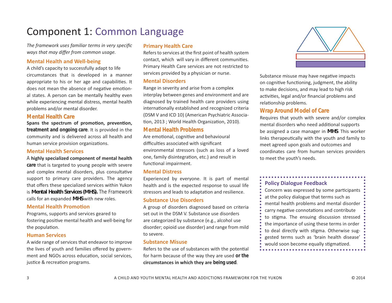# Component 1: Common Language

The framework uses familiar terms in very specific ways that may differ from common usage.

#### **Mental Health and Well-being**

A child's capacity to successfully adapt to life circumstances that is developed in a manner appropriate to his or her age and capabilities. It does not mean the absence of negative emotional states. A person can be mentally healthy even while experiencing mental distress, mental health problems and/or mental disorder.

#### **Mental Health Care**

Spans the spectrum of promotion, prevention, treatment and ongoing care. It is provided in the community and is delivered across all health and human service provision organizations.

#### **Mental Health Services**

A highly specialized component of mental health care that is targeted to young people with severe and complex mental disorders, plus consultative support to primary care providers. The agency that offers these specialized services within Yukon is Mental Health Services (MHS). The Framework calls for an expanded MHS with new roles.

#### **Mental Health Promotion**

Programs, supports and services geared to fostering positive mental health and well-being for the population.

#### **Human Services**

A wide range of services that endeavor to improve the lives of youth and families offered by government and NGOs across education, social services, justice & recreation programs.

### **Primary Health Care**

Refers to services at the first point of health system contact, which will vary in different communities. Primary Health Care services are not restricted to services provided by a physician or nurse.

#### **Mental Disorders**

Range in severity and arise from a complex interplay between genes and environment and are diagnosed by trained health care providers using internationally established and recognized criteria (DSM V and ICD 10) (American Psychiatric Association, 2013; World Health Organization, 2010).

#### **Mental Health Problems**

Are emotional, cognitive and behavioural difficulties associated with significant environmental stressors (such as loss of a loved one, family disintegration, etc.) and result in functional impairment.

#### **Mental Distress**

Experienced by everyone. It is part of mental health and is the expected response to usual life stressors and leads to adaptation and resilience.

#### **Substance Use Disorders**

A group of disorders diagnosed based on criteria set out in the DSM V. Substance use disorders are categorized by substance (e.g., alcohol use disorder; opioid use disorder) and range from mild to severe.

#### **Substance Misuse**

Refers to the use of substances with the potential for harm because of the way they are used or the circumstances in which they are being used.



Substance misuse may have negative impacts on cognitive functioning, judgment, the ability to make decisions, and may lead to high risk activities, legal and/or financial problems and relationship problems.

# **Wrap Around Model of Care**

Requires that youth with severe and/or complex mental disorders who need additional supports be assigned a case manager in *MHS*. This worker links therapeutically with the youth and family to meet agreed upon goals and outcomes and coordinates care from human services providers to meet the youth's needs.

# **Policy Dialogue Feedback**

Concern was expressed by some participants at the policy dialogue that terms such as mental health problems and mental disorder carry negative connotations and contribute to stigma. The ensuing discussion stressed the importance of using these terms in order to deal directly with stigma. Otherwise suggested terms such as 'brain health disease' would soon become equally stigmatized.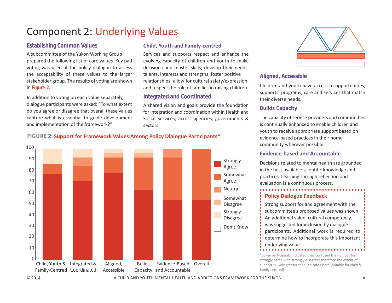# Component 2: Underlying Values

# **Establishing Common Values**

A subcommittee of the Yukon Working Group prepared the following list of core values. Key pad voting was used at the policy dialogue to assess the acceptability of these values to the larger stakeholder group. The results of voting are shown in **Figure 2.**

In addition to voting on each value separately, dialogue participants were asked: "To what extent do you agree or disagree that overall these values capture what is essential to guide development and implementation of the framework?"

# **Child, Youth and Family-centred**

Services and supports respect and enhance the evolving capacity of children and youth to make decisions and master skills; develop their needs, talents, interests and strengths; foster positive relationships; allow for cultural safety/expression; and respect the role of families in raising children.

# **Integrated and Coordinated**

A shared vision and goals provide the foundation for integration and coordination within Health and Social Services; across agencies, governments & sectors.



# **Aligned, Accessible**

Children and youth have access to opportunities, supports, programs, care and services that match their diverse needs.

# **Builds Capacity**

The capacity of service providers and communities is continually enhanced to enable children and youth to receive appropriate support based on evidence-based practices in their home community wherever possible.

### **Evidence-based and Accountable**

Decisions related to mental health are grounded in the best-available scientific knowledge and practices. Learning through reflection and evaluation is a continuous process.



Strong support for and agreement with the subcommittee's proposed values was shown. An additional value, cultural competency, was suggested for inclusion by dialogue participants. Additional work is required to determine how to incorporate this important underlying value.

\*Some participants indicated they confused the number for strongly agree with strongly disagree; therefore the extent of support is likely greater than indicated here [notably for child & family centred]

# FIGURE 2: **Support for Framework Values Among Policy Dialogue Participants\***

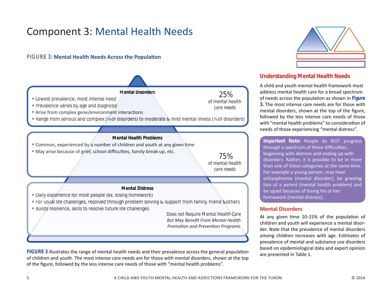# **Component 3: Mental Health Needs**

# FIGURE 3: Mental Health Needs Across the Population



FIGURE 3 illustrates the range of mental health needs and their prevalence across the general population of children and youth. The most intense care needs are for those with mental disorders, shown at the top of the figure, followed by the less intense care needs of those with "mental health problems".



# **Understanding Mental Health Needs**

A child and youth mental health framework must address mental health care for a broad spectrum of needs across the population as shown in Figure 3. The most intense care needs are for those with mental disorders, shown at the top of the figure, followed by the less intense care needs of those with "mental health problems" to consideration of needs of those experiencing "mental distress".

Important Note: People do NOT progress through a spectrum of these difficulties, beginning with distress and ending up with disorders. Rather, it is possible to be in more than one of these categories at the same time. For example a young person, may have schizophrenia (mental disorder); be grieving loss of a perent (mental health problem) and be upset because of losing his or her homework (mental distress).

### **Mental Disorders**

At any given time 10-15% of the population of children and youth will experience a mental disorder. Note that the prevalence of mental disorders among children increases with age. Estimates of prevalence of mental and substance use disorders based on epidemiological data and expert opinion are presented in Table 1.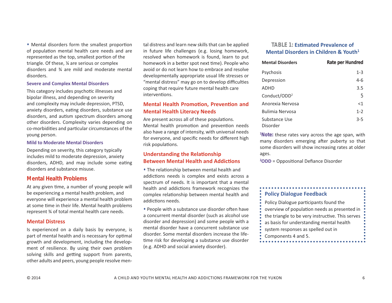• Mental disorders form the smallest proportion of population mental health care needs and are represented as the top, smallest portion of the triangle. Of these, % are serious or complex disorders and  $\frac{3}{4}$  are mild and moderate mental disorders.

#### **Severe and Complex Mental Disorders**

This category includes psychotic illnesses and bipolar illness, and depending on severity and complexity may include depression, PTSD, anxiety disorders, eating disorders, substance use disorders, and autism spectrum disorders among other disorders. Complexity varies depending on co-morbidities and particular circumstances of the young person.

#### **Mild to Moderate Mental Disorders**

Depending on severity, this category typically includes mild to moderate depression, anxiety disorders, ADHD, and may include some eating disorders and substance misuse.

#### **Mental Health Problems**

At any given time, a number of young people will be experiencing a mental health problem, and everyone will experience a mental health problem at some time in their life. Mental health problems represent % of total mental health care needs.

#### **Mental Distress**

Is experienced on a daily basis by everyone, is part of mental health and is necessary for optimal growth and development, including the development of resilience. By using their own problem solving skills and getting support from parents, other adults and peers, young people resolve mental distress and learn new skills that can be applied in future life challenges (e.g. losing homework, resolved when homework is found, learn to put homework in a better spot next time). People who avoid or do not learn how to embrace and resolve developmentally appropriate usual life stresses or "mental distress" may go on to develop difficulties coping that require future mental health care interventions.

### **Mental Health Promotion, Prevention and Mental Health Literacy Needs**

Are present across all of these populations. Mental health promotion and prevention needs also have a range of intensity, with universal needs for everyone, and specific needs for different high risk populations.

### **Understanding the Relationship Between Mental Health and Addictions**

• The relationship between mental health and addictions needs is complex and exists across a spectrum of needs. It is important that a mental health and addictions framework recognizes the complex relationship between mental health and addictions needs.

• People with a substance use disorder often have a concurrent mental disorder (such as alcohol use disorder and depression) and some people with a mental disorder have a concurrent substance use disorder. Some mental disorders increase the lifetime risk for developing a substance use disorder (e.g. ADHD and social anxiety disorder).

### **TABLE 1: Estimated Prevalence of Mental Disorders in Children & Youth<sup>1</sup>**

| <b>Mental Disorders</b>   | Rate per Hundred |
|---------------------------|------------------|
| Psychosis                 | $1 - 3$          |
| Depression                | $4-6$            |
| <b>ADHD</b>               | 3.5              |
| Conduct/ODD <sup>2</sup>  | 5                |
| Anorexia Nervosa          | $<$ 1            |
| Bulimia Nervosa           | $1 - 2$          |
| Substance Use<br>Disorder | $3 - 5$          |

<sup>1</sup>Note: these rates vary across the age span, with many disorders emerging after puberty so that some disorders will show increasing rates at older ages.

<sup>2</sup>ODD = Oppositional Defiance Disorder

### **Policy Dialogue Feedback**

. . . . . . . . . . . . . . . . .

Policy Dialogue participants found the overview of population needs as presented in the triangle to be very instructive. This serves as basis for understanding mental health system responses as spelled out in

Components 4 and 5.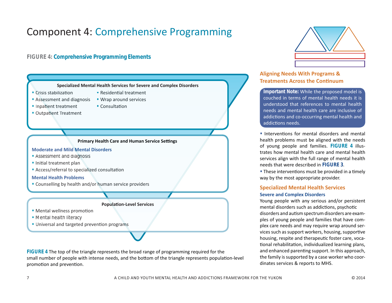# Component 4: Comprehensive Programming

# **FIGURE 4: Comprehensive Programming Elements**



FIGURE 4 The top of the triangle represents the broad range of programming required for the small number of people with intense needs, and the bottom of the triangle represents population-level promotion and prevention.



# **Åligning Needs With Programs & Treatments Across the Continuum**

**Important Note:** While the proposed model is couched in terms of mental health needs it is understood that references to mental health needs and mental health care are inclusive of addictions and co-occurring mental health and addictions needs.

• Interventions for mental disorders and mental health problems must be aligned with the needs οf young people and families. FIGURE 4 illustrates how mental health care and mental health services align with the full range of mental health heeds that were described in FIGURE 3.

• These interventions must be provided in a timely way by the most appropriate provider.

# **Specialized Mental Health Services Severe and Complex Disorders**

Young people with any serious and/or persistent mental disorders such as addictions, psychotic disorders and autism spectrum disorders are examples of young people and families that have complex care needs and may require wrap around services such as support workers, housing, supportive housing, respite and therapeutic foster care, vocational rehabilitation, individualized learning plans, and enhanced parenting support. In this approach, the family is supported by a case worker who coordinates services & reports to MHS.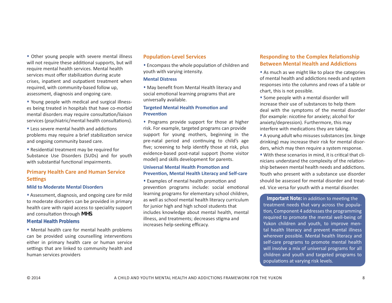• Other young people with severe mental illness will not require these additional supports, but will require mental health services. Mental health services must offer stabilization during acute crises, inpatient and outpatient treatment when required, with community-based follow up, assessment, diagnosis and ongoing care.

• Young people with medical and surgical illnesses being treated in hospitals that have co-morbid mental disorders may require consultation/liaison services (psychiatric/mental health consultations).

• Less severe mental health and addictions problems may require a brief stabilization service and ongoing community based care.

• Residential treatment may be required for Substance Use Disorders (SUDs) and for youth with substantial functional impairments.

# **Primary Health Care and Human Service Settings**

#### **Mild to Moderate Mental Disorders**

• Assessment, diagnosis, and ongoing care for mild to moderate disorders can be provided in primary health care with rapid access to speciality support and consultation through MHS.

#### **Mental Health Problems**

• Mental health care for mental health problems can be provided using counselling interventions either in primary health care or human service settings that are linked to community health and human services providers

#### **Population-Level Services**

• Encompass the whole population of children and youth with varying intensity.

#### **Mental Distress**

• May benefit from Mental Health literacy and social emotional learning programs that are universally available.

#### **Targeted Mental Health Promotion and Prevention**

• Programs provide support for those at higher risk. For example, targeted programs can provide support for young mothers, beginning in the pre-natal period and continuing to child's age five; screening to help identify those at risk, plus evidence-based post-natal support (home visitor model) and skills development for parents.

#### **Universal Mental Health Promotion and Prevention, Mental Health Literacy and Self-care**

• Examples of mental health promotion and prevention programs include: social emotional learning programs for elementary school children, as well as school mental health literacy curriculum for junior high and high school students that includes knowledge about mental health, mental illness, and treatments; decreases stigma and increases help-seeking efficacy.

# **Responding to the Complex Relationship Between Mental Health and Addictions**

• As much as we might like to place the categories of mental health and addictions needs and system responses into the columns and rows of a table or chart, this is not possible.

• Some people with a mental disorder will increase their use of substances to help them deal with the symptoms of the mental disorder (for example: nicotine for anxiety; alcohol for anxiety/depression). Furthermore, this may interfere with medications they are taking.

• A young adult who misuses substances (ex. binge drinking) may increase their risk for mental disorders, which may then require a system response. • With these scenarios in mind, it is critical that clinicians understand the complexity of the relationship between mental health needs and addictions. Youth who present with a substance use disorder should be assessed for mental disorder and treated. Vice versa for youth with a mental disorder.

**Important Note:** in addition to meeting the treatment needs that vary across the population, Component 4 addresses the programming required to promote the mental well-being of Yukon children and youth, to improve mental health literacy and prevent mental illness wherever possible. Mental health literacy and self-care programs to promote mental health will involve a mix of universal programs for all children and youth and targeted programs to populations at varying risk levels.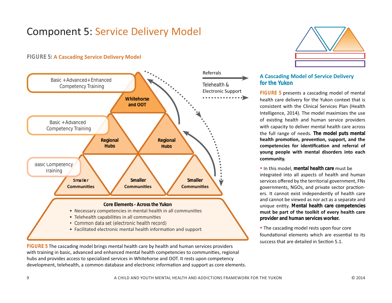# **Component 5: Service Delivery Model**

# **FIGURE 5: A Cascading Service Delivery Model**



FIGURE 5 The cascading model brings mental health care by health and human services providers with training in basic, advanced and enhanced mental health competencies to communities, regional hubs and provides access to specialized services in Whitehorse and OOT. It rests upon competency development, telehealth, a common database and electronic information and support as core elements.



# **A Cascading Model of Service Delivery** for the Yukon

FIGURE 5 presents a cascading model of mental health care delivery for the Yukon context that is consistent with the Clinical Services Plan (Health Intelligence, 2014). The model maximizes the use of existing health and human service providers with capacity to deliver mental health care across the full range of needs. The model puts mental health promotion, prevention, support, and the competencies for identification and referral of young people with mental disorders into each community.

. In this model, mental health care must be integrated into all aspects of health and human services offered by the territorial government, FNs governments, NGOs, and private sector practioners. It cannot exist independently of health care and cannot be viewed as nor act as a separate and unique entity. Mental health care competencies must be part of the toolkit of every health care provider and human services worker.

• The cascading model rests upon four core foundational elements which are essential to its success that are detailed in Section 5.1.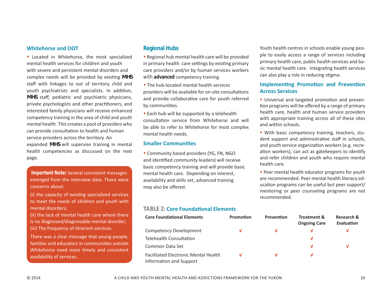#### **Whitehorse and OOT**

• Located in Whitehorse, the most specialized mental health services for children and vouth with severe and persistent mental disorders and complex needs will be provided by existing MHS staff with linkages to out of territory child and youth psychiatrists and specialists. In addition, *MHS* staff, pediatric and psychiatric physicians, private psychologists and other practitioners, and interested family physicians will receive enhanced competency training in the area of child and youth mental health. This creates a pool of providers who can provide consultation to health and human service providers across the territory. An expanded *MHS* will supervise training in mental health competencies as discussed on the next page.

**Important Note:** Several consistent messages emerged from the interview data. There were concerns about:

(i) the capacity of existing specialized services to meet the needs of children and youth with mental disorders;

(ii) the lack of mental health care where there is no diagnosed/diagnosable mental disorder: (iii) The frequency of itinerant services.

There was a clear message that young people, families and educators in communities outside Whitehorse need more timely and consistent availability of services.

# **Regional Hubs**

• Regional hub mental health care will be provided in primary health care settings by existing primary care providers and/or by human services workers with **advanced** competency training.

• The hub-located mental health services providers will be available for on-site consultations and provide collaborative care for youth referred by communities.

• Each hub will be supported by a telehealth consultation service from Whitehorse and will be able to refer to Whitehorse for most complex mental health needs.

#### **Smaller Communities**

• Community based providers (YG, FN, NGO and identified community leaders) will receive basic competency training and will provide basic mental health care. Depending on interest, availability and skills set, advanced training may also be offered.

**TABLE 2: Core Foundational Elements** 

| <b>Core Foundational Elements</b>                                      | <b>Promotion</b> | <b>Prevention</b> | <b>Treatment &amp;</b><br><b>Ongoing Care</b> | Research &<br>Evaluation |
|------------------------------------------------------------------------|------------------|-------------------|-----------------------------------------------|--------------------------|
| Competency Development                                                 | v                | V                 |                                               |                          |
| Telehealth Consultation                                                |                  |                   | ν                                             |                          |
| Common Data Set                                                        |                  |                   | M                                             |                          |
| <b>Facilitated Electronic Mental Health</b><br>Information and Support | V                | v                 |                                               |                          |

Youth health centres in schools enable young people to easily access a range of services including primary health care, public health services and basic mental health care. Integrating health services can also play a role in reducing stigma.

### **Implementing Promotion and Prevention Across Services**

• Universal and targeted promotion and prevention programs will be offered by a range of primary health care, health and human service providers with appropriate training across all of these sites and within schools.

• With basic competency training, teachers, student support and administrative staff in schools, and youth service organization workers (e.g. recreation workers), can act as gatekeepers to identify and refer children and youth who require mental health care.

• Peer mental health educator programs for youth are recommended. Peer mental health literacy education programs can be useful but peer support/ mentoring or peer counseling programs are not recommended.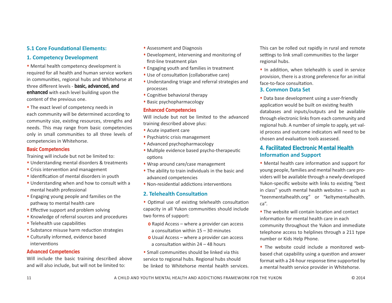# **5.1 Core Foundational Elements:**

### **1. Competency Development**

• Mental health competency development is required for all health and human service workers in communities, regional hubs and Whitehorse at three different levels - basic, advanced, and enhanced with each level building upon the content of the previous one.

• The exact level of competency needs in each community will be determined according to community size, existing resources, strengths and needs. This may range from basic competencies only in small communities to all three levels of competencies in Whitehorse.

#### **Basic Competencies**

Training will include but not be limited to:

- Understanding mental disorders & treatments
- Crisis intervention and management
- · Identification of mental disorders in youth
- Understanding when and how to consult with a mental health professional
- . Engaging young people and families on the pathway to mental health care
- Effective support and problem solving
- Knowledge of referral sources and procedures
- Telehealth use capabilities
- Substance misuse harm reduction strategies
- Culturally informed, evidence based interventions

#### **Advanced Competencies**

Will include the basic training described above and will also include, but will not be limited to:

- Assessment and Diagnosis
- Development, intervening and monitoring of first-line treatment plan
- Engaging youth and families in treatment
- Use of consultation (collaborative care)
- Understanding triage and referral strategies and processes
- Cognitive behavioral therapy
- · Basic psychopharmacology

#### **Enhanced Competencies**

Will include but not be limited to the advanced training described above plus:

- Acute inpatient care
- Psychiatric crisis management
- Advanced psychopharmacology
- · Multiple evidence based psycho-therapeutic options
- Wrap around care/case management
- . The ability to train individuals in the basic and advanced competencies
- Non-residential addictions interventions

### 2. Telehealth Consultation

• Optimal use of existing telehealth consultation capacity in all Yukon communities should include two forms of support:

- **o** Rapid Access where a provider can access a consultation within  $15 - 30$  minutes
- $\Omega$  Usual Access where a provider can access a consultation within 24 - 48 hours
- Small communities should be linked via this service to regional hubs. Regional hubs should be linked to Whitehorse mental health services.

This can be rolled out rapidly in rural and remote settings to link small communities to the larger regional hubs.

. In addition, when telehealth is used in service provision, there is a strong preference for an initial face-to-face consultation.

#### 3. Common Data Set

• Data base development using a user-friendly application would be built on existing health databases and inputs/outputs and be available through electronic links from each community and regional hub. A number of simple to apply, yet valid process and outcome indicators will need to be chosen and evaluation tools assessed.

# 4. Facilitated Flectronic Mental Health **Information and Support**

• Mental health care information and support for young people, families and mental health care providers will be available through a newly-developed Yukon-specific website with links to existing "best in class" youth mental health websites  $-$  such as "teenmentalhealth.org" or "keltymentalhealth.  $ca''$ .

• The website will contain location and contact information for mental health care in each community throughout the Yukon and immediate telephone access to helplines through a 211 type number or Kids Help Phone.

• The website could include a monitored webbased chat capability using a question and answer format with a 24-hour response time supported by a mental health service provider in Whitehorse.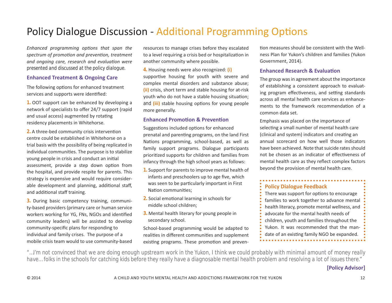# **Policy Dialogue Discussion - Additional Programming Options**

Enhanced programming options that span the spectrum of promotion and prevention, treatment and ongoing care, research and evaluation were presented and discussed at the policy dialogue.

### **Enhanced Treatment & Ongoing Care**

The following options for enhanced treatment services and supports were identified:

1. OOT support can be enhanced by developing a network of specialists to offer 24/7 support (rapid and usual access) augmented by rotating residency placements in Whitehorse.

2. A three-bed community crisis intervention centre could be established in Whitehorse on a trial basis with the possibility of being replicated in individual communities. The purpose is to stabilize young people in crisis and conduct an initial assessment, provide a step down option from the hospital, and provide respite for parents. This strategy is expensive and would require considerable development and planning, additional staff, and additional staff training.

3. During basic competency training, community-based providers (primary care or human service workers working for YG, FNs, NGOs and identified community leaders) will be assisted to develop community-specific plans for responding to individual and family crises. The purpose of a mobile crisis team would to use community-based

resources to manage crises before they escalated to a level requiring a crisis bed or hospitalization in another community where possible.

4. Housing needs were also recognized: (i) supportive housing for youth with severe and complex mental disorders and substance abuse: (ii) crisis, short term and stable housing for at-risk youth who do not have a stable housing situation; and (iii) stable housing options for young people more generally.

### **Enhanced Promotion & Prevention**

Suggestions included options for enhanced prenatal and parenting programs, on the land First Nations programming, school-based, as well as family support programs. Dialogue participants prioritized supports for children and families from infancy through the high school years as follows:

- 1. Support for parents to improve mental health of infants and preschoolers up to age five, which was seen to be particularly important in First Nation communities:
- 2. Social emotional learning in schools for middle school children;
- 3. Mental health literary for young people in secondary school.

School-based programming would be adapted to realities in different communities and supplement existing programs. These promotion and prevention measures should be consistent with the Wellness Plan for Yukon's children and families (Yukon Government, 2014).

### **Enhanced Research & Evaluation**

The group was in agreement about the importance of establishing a consistent approach to evaluating program effectiveness, and setting standards across all mental health care services as enhancements to the framework recommendation of a common data set.

Emphasis was placed on the importance of selecting a small number of mental health care (clinical and system) indicators and creating an annual scorecard on how well those indicators have been achieved. Note that suicide rates should not be chosen as an indicator of effectiveness of mental health care as they reflect complex factors beyond the provision of mental health care.

..................................

# **Policy Dialogue Feedback**

There was support for options to encourage families to work together to advance mental health literacy, promote mental wellness, and advocate for the mental health needs of children, youth and families throughout the Yukon. It was recommended that the mandate of an existing family NGO be expanded. 

"...I'm not convinced that we are doing enough upstream work in the Yukon, I think we could probably with minimal amount of money really have... folks in the schools for catching kids before they really have a diagnosable mental health problem and resolving a lot of issues there."

# **[Policy Advisor]**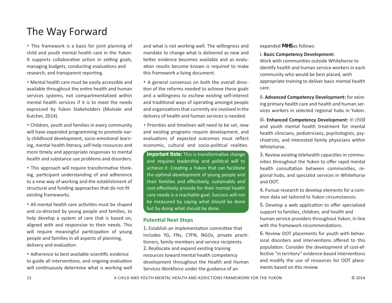# The Way Forward

• This framework is a basis for joint planning of child and youth mental health care in the Yukon. It supports collaborative action in setting goals, managing budgets, conducting evaluations and research, and transparent reporting.

• Mental health care must be easily accessible and available throughout the entire health and human services systems, not compartmentalized within mental health services if it is to meet the needs expressed by Yukon Stakeholders (Mulvale and Kutcher, 2014).

• Children, youth and families in every community will have expanded programming to promote early childhood development, socio-emotional learning, mental health literacy, self-help resources and more timely and appropriate responses to mental health and substance use problems and disorders.

• This approach will require transformative thinking, participant understanding of and adherence to a new way of working and the establishment of structural and funding approaches that do not fit existing frameworks.

• All mental health care activities must be shaped and co-directed by young people and families, to help develop a system of care that is based on, aligned with and responsive to their needs. This will require meaningful participation of young people and families in all aspects of planning, delivery and evaluation.

• Adherence to best available scientific evidence to guide all interventions, and ongoing evaluation will continuously determine what is working well

and what is not working well. The willingness and mandate to change what is delivered as new and better evidence becomes available and as evaluation results become known is required to make this framework a living document.

• A general consensus on both the overall direction of the reforms needed to achieve these goals and a willingness to eschew existing self-interest and traditional ways of operating amongst people and organizations that currently are involved in the delivery of health and human services is needed.

• Priorities and timelines will need to be set, new and existing programs require development, and evaluations of expected outcomes must reflect economic, cultural and socio-political realities.

**Important Note:** This is transformative change and requires leadership and political will to achieve it. Creating a Yukon that can facilitate the optimal development of young people and their families and effectively, sustainably and cost-effectively provide for their mental health care needs is a reachable goal. Success will not be measured by saying what should be done but by doing what should be done.

#### **Potential Next Steps**

1. Establish an implementation committee that includes YG, FNs, CYFN, NGOs, private practitioners, family members and service recipients. **2.** Reallocate and expand existing training resources toward mental health competency development throughout the Health and Human Services Workforce under the guidance of an

#### expanded *MHS* as follows:

#### **i.** Basic Competency Development:

Work with communities outside Whitehorse to identify health and human service workers in each community who would be best placed, with appropriate training to deliver basic mental health care.

**ii. Advanced Competency Development:** for existing primary health care and health and human services workers in selected regional hubs in Yukon.

**iii. Enhanced Competency Development:** in child and youth mental health treatment for mental health clinicians, pediatricians, psychologists, psychiatrists, and interested family physicians within Whitehorse.

**3.** Review existing telehealth capacities in communities throughout the Yukon to offer rapid mental health consultation between communities, regional hubs, and specialist services in Whitehorse and OOT.

**4.** Pursue research to develop elements for a common data set tailored to Yukon circumstances.

5. Develop a web application to offer specialized support to families, children, and health and human service providers throughout Yukon, in line with the framework recommendations.

6. Review OOT placements for youth with behavioral disorders and interventions offered to this population. Consider the development of cost-effective "in territory" evidence-based interventions and modify the use of resources for OOT placements based on this review.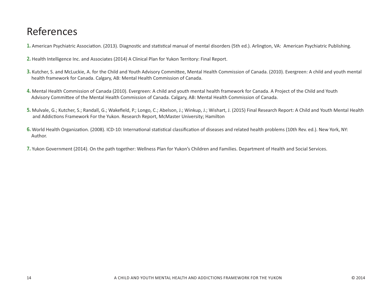# References

- 1. American Psychiatric Association. (2013). Diagnostic and statistical manual of mental disorders (5th ed.). Arlington, VA: American Psychiatric Publishing.
- 2. Health Intelligence Inc. and Associates (2014) A Clinical Plan for Yukon Territory: Final Report.
- 3. Kutcher, S. and McLuckie, A. for the Child and Youth Advisory Committee, Mental Health Commission of Canada. (2010). Evergreen: A child and youth mental health framework for Canada. Calgary, AB: Mental Health Commission of Canada.
- 4. Mental Health Commission of Canada (2010). Evergreen: A child and youth mental health framework for Canada. A Project of the Child and Youth Advisory Committee of the Mental Health Commission of Canada. Calgary, AB: Mental Health Commission of Canada.
- 5. Mulvale, G.; Kutcher, S.; Randall, G.; Wakefield, P.; Longo, C.; Abelson, J.; Winkup, J.; Wishart, J. (2015) Final Research Report: A Child and Youth Mental Health and Addictions Framework For the Yukon. Research Report, McMaster University; Hamilton
- 6. World Health Organization. (2008). ICD-10: International statistical classification of diseases and related health problems (10th Rev. ed.). New York, NY: Author.
- 7. Yukon Government (2014). On the path together: Wellness Plan for Yukon's Children and Families. Department of Health and Social Services.